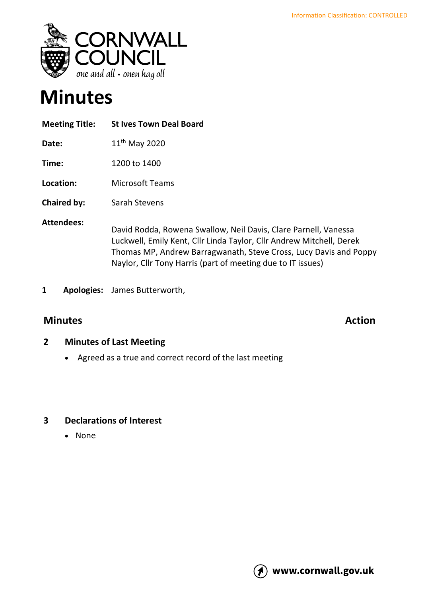

# **Minutes**

| <b>Meeting Title:</b> | <b>St Ives Town Deal Board</b>                                                                                                                                                                                                                                              |
|-----------------------|-----------------------------------------------------------------------------------------------------------------------------------------------------------------------------------------------------------------------------------------------------------------------------|
| Date:                 | $11^{th}$ May 2020                                                                                                                                                                                                                                                          |
| Time:                 | 1200 to 1400                                                                                                                                                                                                                                                                |
| Location:             | <b>Microsoft Teams</b>                                                                                                                                                                                                                                                      |
| <b>Chaired by:</b>    | Sarah Stevens                                                                                                                                                                                                                                                               |
| <b>Attendees:</b>     | David Rodda, Rowena Swallow, Neil Davis, Clare Parnell, Vanessa<br>Luckwell, Emily Kent, Cllr Linda Taylor, Cllr Andrew Mitchell, Derek<br>Thomas MP, Andrew Barragwanath, Steve Cross, Lucy Davis and Poppy<br>Naylor, Cllr Tony Harris (part of meeting due to IT issues) |

**1 Apologies:** James Butterworth,

# **Minutes Action**

## **2 Minutes of Last Meeting**

• Agreed as a true and correct record of the last meeting

# **3 Declarations of Interest**

• None

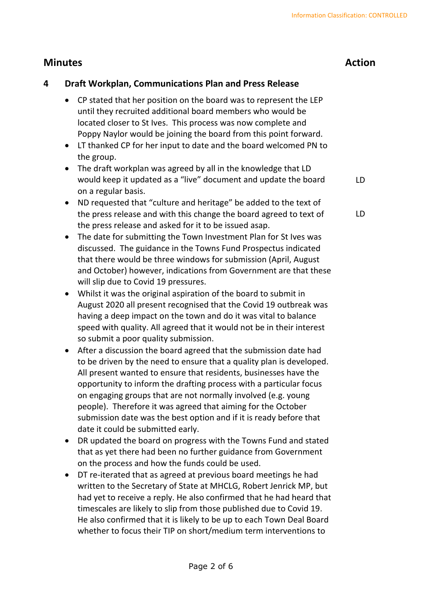### **4 Draft Workplan, Communications Plan and Press Release**

- CP stated that her position on the board was to represent the LEP until they recruited additional board members who would be located closer to St Ives. This process was now complete and Poppy Naylor would be joining the board from this point forward.
- LT thanked CP for her input to date and the board welcomed PN to the group.
- The draft workplan was agreed by all in the knowledge that LD would keep it updated as a "live" document and update the board on a regular basis.
- ND requested that "culture and heritage" be added to the text of the press release and with this change the board agreed to text of the press release and asked for it to be issued asap.
- The date for submitting the Town Investment Plan for St Ives was discussed. The guidance in the Towns Fund Prospectus indicated that there would be three windows for submission (April, August and October) however, indications from Government are that these will slip due to Covid 19 pressures.
- Whilst it was the original aspiration of the board to submit in August 2020 all present recognised that the Covid 19 outbreak was having a deep impact on the town and do it was vital to balance speed with quality. All agreed that it would not be in their interest so submit a poor quality submission.
- After a discussion the board agreed that the submission date had to be driven by the need to ensure that a quality plan is developed. All present wanted to ensure that residents, businesses have the opportunity to inform the drafting process with a particular focus on engaging groups that are not normally involved (e.g. young people). Therefore it was agreed that aiming for the October submission date was the best option and if it is ready before that date it could be submitted early.
- DR updated the board on progress with the Towns Fund and stated that as yet there had been no further guidance from Government on the process and how the funds could be used.
- DT re-iterated that as agreed at previous board meetings he had written to the Secretary of State at MHCLG, Robert Jenrick MP, but had yet to receive a reply. He also confirmed that he had heard that timescales are likely to slip from those published due to Covid 19. He also confirmed that it is likely to be up to each Town Deal Board whether to focus their TIP on short/medium term interventions to

LD

LD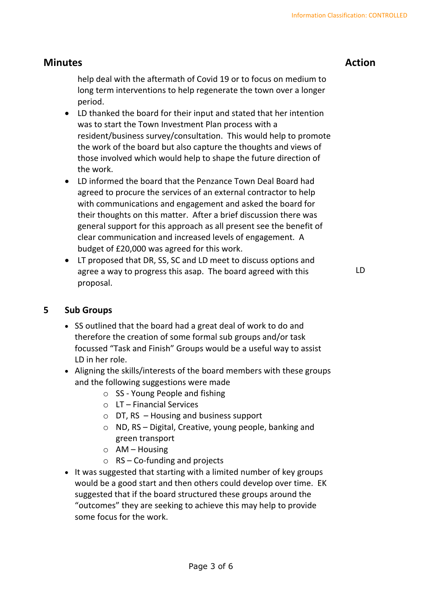help deal with the aftermath of Covid 19 or to focus on medium to long term interventions to help regenerate the town over a longer period.

- LD thanked the board for their input and stated that her intention was to start the Town Investment Plan process with a resident/business survey/consultation. This would help to promote the work of the board but also capture the thoughts and views of those involved which would help to shape the future direction of the work.
- LD informed the board that the Penzance Town Deal Board had agreed to procure the services of an external contractor to help with communications and engagement and asked the board for their thoughts on this matter. After a brief discussion there was general support for this approach as all present see the benefit of clear communication and increased levels of engagement. A budget of £20,000 was agreed for this work.
- LT proposed that DR, SS, SC and LD meet to discuss options and agree a way to progress this asap. The board agreed with this proposal.

LD

### **5 Sub Groups**

- SS outlined that the board had a great deal of work to do and therefore the creation of some formal sub groups and/or task focussed "Task and Finish" Groups would be a useful way to assist LD in her role.
- Aligning the skills/interests of the board members with these groups and the following suggestions were made
	- o SS Young People and fishing
	- o LT Financial Services
	- $\circ$  DT, RS Housing and business support
	- o ND, RS Digital, Creative, young people, banking and green transport
	- $O$  AM Housing
	- $\circ$  RS Co-funding and projects
- It was suggested that starting with a limited number of key groups would be a good start and then others could develop over time. EK suggested that if the board structured these groups around the "outcomes" they are seeking to achieve this may help to provide some focus for the work.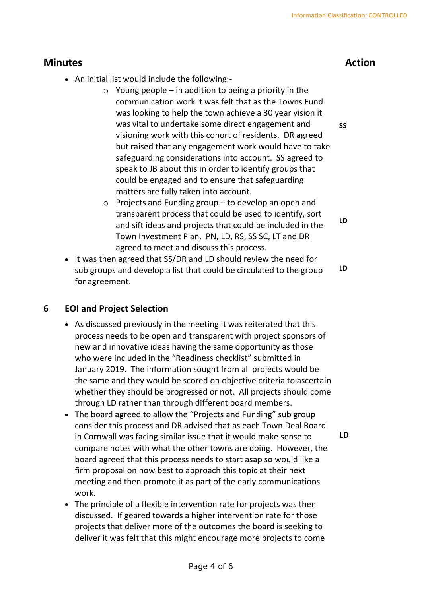**SS**

# **Minutes Action**

- An initial list would include the following:-
	- $\circ$  Young people in addition to being a priority in the communication work it was felt that as the Towns Fund was looking to help the town achieve a 30 year vision it was vital to undertake some direct engagement and visioning work with this cohort of residents. DR agreed but raised that any engagement work would have to take safeguarding considerations into account. SS agreed to speak to JB about this in order to identify groups that could be engaged and to ensure that safeguarding matters are fully taken into account.
	- $\circ$  Projects and Funding group to develop an open and transparent process that could be used to identify, sort and sift ideas and projects that could be included in the Town Investment Plan. PN, LD, RS, SS SC, LT and DR agreed to meet and discuss this process.
- It was then agreed that SS/DR and LD should review the need for sub groups and develop a list that could be circulated to the group for agreement. **LD**

**LD**

**LD**

### **6 EOI and Project Selection**

- As discussed previously in the meeting it was reiterated that this process needs to be open and transparent with project sponsors of new and innovative ideas having the same opportunity as those who were included in the "Readiness checklist" submitted in January 2019. The information sought from all projects would be the same and they would be scored on objective criteria to ascertain whether they should be progressed or not. All projects should come through LD rather than through different board members.
- The board agreed to allow the "Projects and Funding" sub group consider this process and DR advised that as each Town Deal Board in Cornwall was facing similar issue that it would make sense to compare notes with what the other towns are doing. However, the board agreed that this process needs to start asap so would like a firm proposal on how best to approach this topic at their next meeting and then promote it as part of the early communications work.
- The principle of a flexible intervention rate for projects was then discussed. If geared towards a higher intervention rate for those projects that deliver more of the outcomes the board is seeking to deliver it was felt that this might encourage more projects to come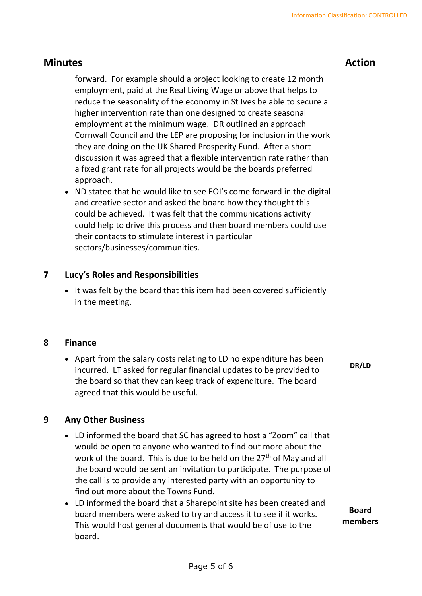forward. For example should a project looking to create 12 month employment, paid at the Real Living Wage or above that helps to reduce the seasonality of the economy in St Ives be able to secure a higher intervention rate than one designed to create seasonal employment at the minimum wage. DR outlined an approach Cornwall Council and the LEP are proposing for inclusion in the work they are doing on the UK Shared Prosperity Fund. After a short discussion it was agreed that a flexible intervention rate rather than a fixed grant rate for all projects would be the boards preferred approach.

• ND stated that he would like to see EOI's come forward in the digital and creative sector and asked the board how they thought this could be achieved. It was felt that the communications activity could help to drive this process and then board members could use their contacts to stimulate interest in particular sectors/businesses/communities.

### **7 Lucy's Roles and Responsibilities**

• It was felt by the board that this item had been covered sufficiently in the meeting.

### **8 Finance**

• Apart from the salary costs relating to LD no expenditure has been incurred. LT asked for regular financial updates to be provided to the board so that they can keep track of expenditure. The board agreed that this would be useful. **DR/LD**

### **9 Any Other Business**

- LD informed the board that SC has agreed to host a "Zoom" call that would be open to anyone who wanted to find out more about the work of the board. This is due to be held on the  $27<sup>th</sup>$  of May and all the board would be sent an invitation to participate. The purpose of the call is to provide any interested party with an opportunity to find out more about the Towns Fund.
- LD informed the board that a Sharepoint site has been created and board members were asked to try and access it to see if it works. This would host general documents that would be of use to the board. **Board members**